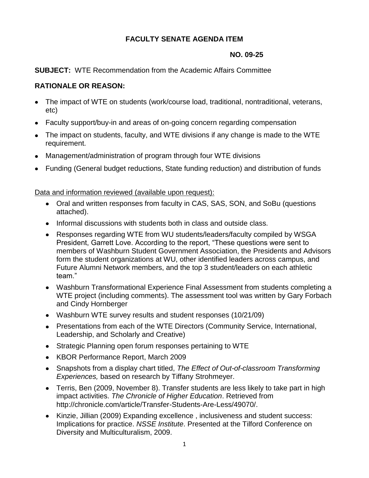# **FACULTY SENATE AGENDA ITEM**

### **NO. 09-25**

## **SUBJECT:** WTE Recommendation from the Academic Affairs Committee

# **RATIONALE OR REASON:**

- The impact of WTE on students (work/course load, traditional, nontraditional, veterans,  $\bullet$ etc)
- Faculty support/buy-in and areas of on-going concern regarding compensation
- The impact on students, faculty, and WTE divisions if any change is made to the WTE requirement.
- Management/administration of program through four WTE divisions
- Funding (General budget reductions, State funding reduction) and distribution of funds

Data and information reviewed (available upon request):

- Oral and written responses from faculty in CAS, SAS, SON, and SoBu (questions attached).
- Informal discussions with students both in class and outside class.
- Responses regarding WTE from WU students/leaders/faculty compiled by WSGA President, Garrett Love. According to the report, "These questions were sent to members of Washburn Student Government Association, the Presidents and Advisors form the student organizations at WU, other identified leaders across campus, and Future Alumni Network members, and the top 3 student/leaders on each athletic team."
- Washburn Transformational Experience Final Assessment from students completing a WTE project (including comments). The assessment tool was written by Gary Forbach and Cindy Hornberger
- Washburn WTE survey results and student responses (10/21/09)
- Presentations from each of the WTE Directors (Community Service, International, Leadership, and Scholarly and Creative)
- Strategic Planning open forum responses pertaining to WTE
- KBOR Performance Report, March 2009
- Snapshots from a display chart titled, *The Effect of Out-of-classroom Transforming Experiences,* based on research by Tiffany Strohmeyer.
- Terris, Ben (2009, November 8). Transfer students are less likely to take part in high impact activities. *The Chronicle of Higher Education*. Retrieved from http://chronicle.com/article/Transfer-Students-Are-Less/49070/.
- Kinzie, Jillian (2009) Expanding excellence , inclusiveness and student success: Implications for practice. *NSSE Institute*. Presented at the Tilford Conference on Diversity and Multiculturalism, 2009.